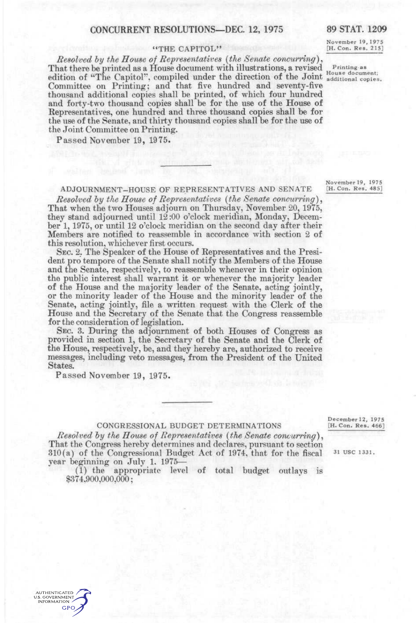# CONCURRENT RESOLUTIONS—DEC. 12, 1975 89 STAT. 1209

### "THE CAPITOL"

*Resolved hy the House of Representatives {the Senate concurring)^*  That there be printed as a House document with illustrations, a revised Printing as edition of "The Capitol", compiled under the direction of the Joint additional copies. Committee on Printing; and that five hundred and seventy-five thousand additional copies shall be printed, of which four hundred and forty-two thousand copies shall be for the use of the House of Representatives, one hundred and three thousand copies shall be for the use of the Senate, and thirty thousand copies shall be for the use of the Joint Committee on Printing.

Passed November 19, 1975.

November 19, 1975<br>[H. Con. Res. 215]

November 19, 1975<br>[H. Con. Res. 485] ADJOURNMENT-HOUSE OF REPRESENTATIVES AND SENATE

*Resolved by the House of Representatives (the Senate concurring),* That when the two Houses adjourn on Thursday, November 20, 1975, they stand adjourned until 12:00 o'clock meridian, Monday, December 1, 1975, or until 12 o'clock meridian on the second day after their Members are notified to reassemble in accordance with section 2 of this resolution, whichever first occurs.

SEC. 2. The Speaker of the House of Representatives and the President pro tempore of the Senate shall notify the Members of the House and the Senate, respectively, to reassemble whenever in their opinion the public interest shall warrant it or whenever the majority leader of the House and the majority leader of the Senate, acting jointly, or the minority leader of the House and the minority leader of the Senate, acting jointly, file a written request with the Clerk of the House and the Secretary of the Senate that the Congress reassemble for the consideration of legislation.

SEC. 3. During the adjournment of both Houses of Congress as provided in section 1, the Secretary of the Senate and the Clerk of the House, respectively, be, and they hereby are, authorized to receive messages, including veto messages, from the President of the United States.

Passed November 19, 1975.

### CONGRESSIONAL BUDGET DETERMINATIONS

*Resolved hy the House of Representatives {the Senate concurring)^*  That the Congress hereby determines and declares, pursuant to section  $310(a)$  of the Congressional Budget Act of 1974, that for the fiscal  $31 \text{ US } 1331$ . year beginning on July 1. 1975—

(1) the appropriate level of total budget outlays is \$374,900,000,000;

December 12, 1975<br>[H. Con. Res. 466]

**AUTHENTICATED U.S. GOVERNMENT INFORMATION GPO**